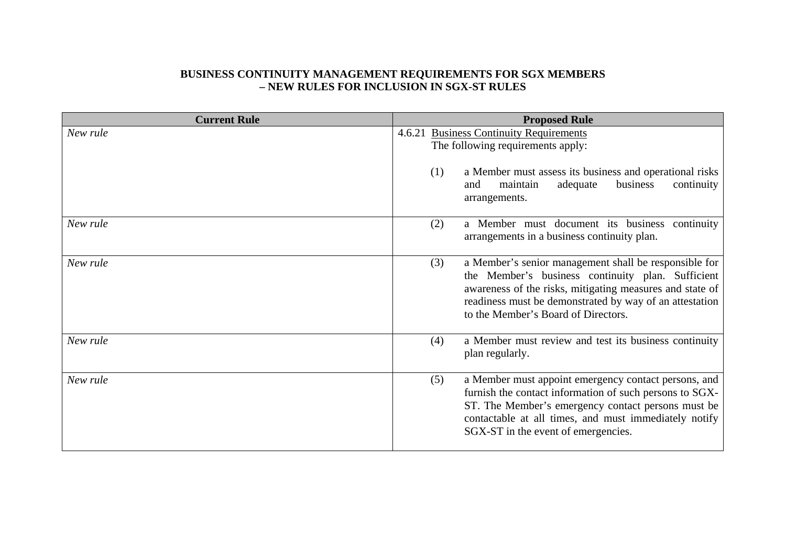## **BUSINESS CONTINUITY MANAGEMENT REQUIREMENTS FOR SGX MEMBERS – NEW RULES FOR INCLUSION IN SGX-ST RULES**

| <b>Current Rule</b> | <b>Proposed Rule</b>                                                                                                                                                                                                                                                            |  |  |  |
|---------------------|---------------------------------------------------------------------------------------------------------------------------------------------------------------------------------------------------------------------------------------------------------------------------------|--|--|--|
| New rule            | 4.6.21 Business Continuity Requirements<br>The following requirements apply:<br>(1)<br>a Member must assess its business and operational risks<br>business<br>continuity<br>maintain<br>adequate<br>and<br>arrangements.                                                        |  |  |  |
| New rule            | a Member must document its business continuity<br>(2)<br>arrangements in a business continuity plan.                                                                                                                                                                            |  |  |  |
| New rule            | (3)<br>a Member's senior management shall be responsible for<br>the Member's business continuity plan. Sufficient<br>awareness of the risks, mitigating measures and state of<br>readiness must be demonstrated by way of an attestation<br>to the Member's Board of Directors. |  |  |  |
| New rule            | a Member must review and test its business continuity<br>(4)<br>plan regularly.                                                                                                                                                                                                 |  |  |  |
| New rule            | (5)<br>a Member must appoint emergency contact persons, and<br>furnish the contact information of such persons to SGX-<br>ST. The Member's emergency contact persons must be<br>contactable at all times, and must immediately notify<br>SGX-ST in the event of emergencies.    |  |  |  |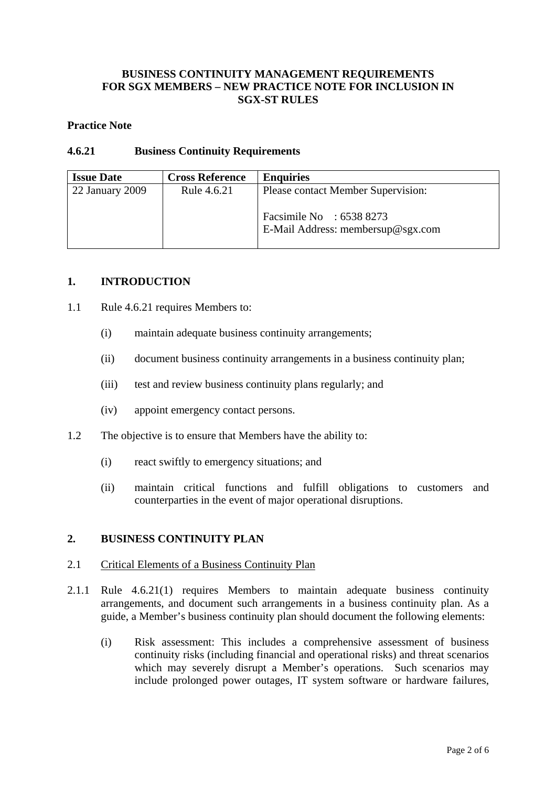# **BUSINESS CONTINUITY MANAGEMENT REQUIREMENTS FOR SGX MEMBERS – NEW PRACTICE NOTE FOR INCLUSION IN SGX-ST RULES**

### **Practice Note**

## **4.6.21 Business Continuity Requirements**

| <b>Issue Date</b> | <b>Cross Reference</b> | <b>Enquiries</b>                                               |
|-------------------|------------------------|----------------------------------------------------------------|
| 22 January 2009   | Rule 4.6.21            | Please contact Member Supervision:                             |
|                   |                        | Facsimile No : $65388273$<br>E-Mail Address: membersup@sgx.com |

### **1. INTRODUCTION**

- 1.1 Rule 4.6.21 requires Members to:
	- (i) maintain adequate business continuity arrangements;
	- (ii) document business continuity arrangements in a business continuity plan;
	- (iii) test and review business continuity plans regularly; and
	- (iv) appoint emergency contact persons.
- 1.2 The objective is to ensure that Members have the ability to:
	- (i) react swiftly to emergency situations; and
	- (ii) maintain critical functions and fulfill obligations to customers and counterparties in the event of major operational disruptions.

# **2. BUSINESS CONTINUITY PLAN**

### 2.1 Critical Elements of a Business Continuity Plan

- 2.1.1 Rule 4.6.21(1) requires Members to maintain adequate business continuity arrangements, and document such arrangements in a business continuity plan. As a guide, a Member's business continuity plan should document the following elements:
	- (i) Risk assessment: This includes a comprehensive assessment of business continuity risks (including financial and operational risks) and threat scenarios which may severely disrupt a Member's operations. Such scenarios may include prolonged power outages, IT system software or hardware failures,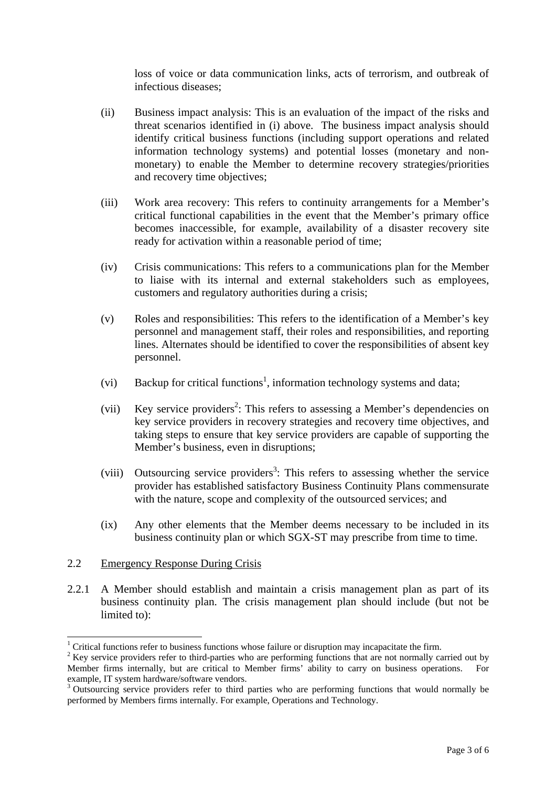loss of voice or data communication links, acts of terrorism, and outbreak of infectious diseases;

- (ii) Business impact analysis: This is an evaluation of the impact of the risks and threat scenarios identified in (i) above. The business impact analysis should identify critical business functions (including support operations and related information technology systems) and potential losses (monetary and nonmonetary) to enable the Member to determine recovery strategies/priorities and recovery time objectives;
- (iii) Work area recovery: This refers to continuity arrangements for a Member's critical functional capabilities in the event that the Member's primary office becomes inaccessible, for example, availability of a disaster recovery site ready for activation within a reasonable period of time;
- (iv) Crisis communications: This refers to a communications plan for the Member to liaise with its internal and external stakeholders such as employees, customers and regulatory authorities during a crisis;
- (v) Roles and responsibilities: This refers to the identification of a Member's key personnel and management staff, their roles and responsibilities, and reporting lines. Alternates should be identified to cover the responsibilities of absent key personnel.
- (vi) Backup for critical functions<sup>1</sup>, information technology systems and data;
- (vii) Key service providers<sup>2</sup>: This refers to assessing a Member's dependencies on key service providers in recovery strategies and recovery time objectives, and taking steps to ensure that key service providers are capable of supporting the Member's business, even in disruptions;
- (viii) Outsourcing service providers<sup>3</sup>: This refers to assessing whether the service provider has established satisfactory Business Continuity Plans commensurate with the nature, scope and complexity of the outsourced services; and
- (ix) Any other elements that the Member deems necessary to be included in its business continuity plan or which SGX-ST may prescribe from time to time.

### 2.2 Emergency Response During Crisis

 $\overline{a}$ 

2.2.1 A Member should establish and maintain a crisis management plan as part of its business continuity plan. The crisis management plan should include (but not be limited to):

<sup>&</sup>lt;sup>1</sup> Critical functions refer to business functions whose failure or disruption may incapacitate the firm.

 $2$  Key service providers refer to third-parties who are performing functions that are not normally carried out by Member firms internally, but are critical to Member firms' ability to carry on business operations. For example, IT system hardware/software vendors.

<sup>&</sup>lt;sup>3</sup> Outsourcing service providers refer to third parties who are performing functions that would normally be performed by Members firms internally. For example, Operations and Technology.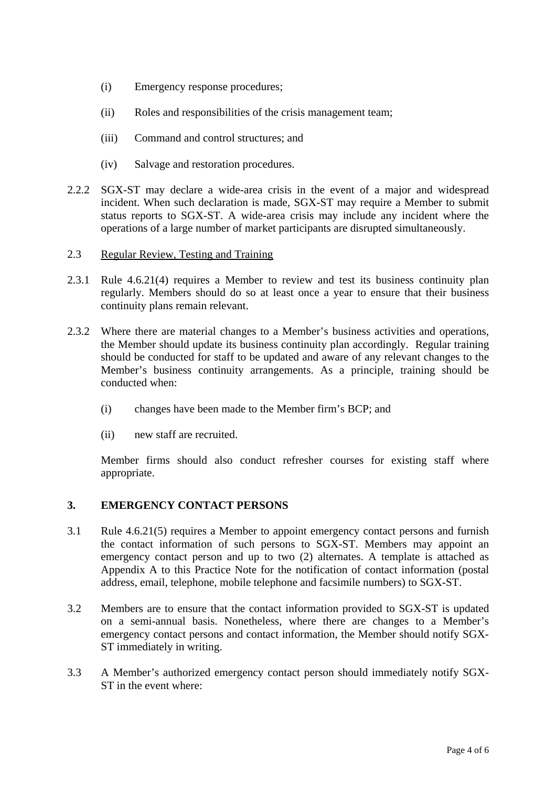- (i) Emergency response procedures;
- (ii) Roles and responsibilities of the crisis management team;
- (iii) Command and control structures; and
- (iv) Salvage and restoration procedures.
- 2.2.2 SGX-ST may declare a wide-area crisis in the event of a major and widespread incident. When such declaration is made, SGX-ST may require a Member to submit status reports to SGX-ST. A wide-area crisis may include any incident where the operations of a large number of market participants are disrupted simultaneously.
- 2.3 Regular Review, Testing and Training
- 2.3.1 Rule 4.6.21(4) requires a Member to review and test its business continuity plan regularly. Members should do so at least once a year to ensure that their business continuity plans remain relevant.
- 2.3.2 Where there are material changes to a Member's business activities and operations, the Member should update its business continuity plan accordingly. Regular training should be conducted for staff to be updated and aware of any relevant changes to the Member's business continuity arrangements. As a principle, training should be conducted when:
	- (i) changes have been made to the Member firm's BCP; and
	- (ii) new staff are recruited.

Member firms should also conduct refresher courses for existing staff where appropriate.

### **3. EMERGENCY CONTACT PERSONS**

- 3.1 Rule 4.6.21(5) requires a Member to appoint emergency contact persons and furnish the contact information of such persons to SGX-ST. Members may appoint an emergency contact person and up to two (2) alternates. A template is attached as Appendix A to this Practice Note for the notification of contact information (postal address, email, telephone, mobile telephone and facsimile numbers) to SGX-ST.
- 3.2 Members are to ensure that the contact information provided to SGX-ST is updated on a semi-annual basis. Nonetheless, where there are changes to a Member's emergency contact persons and contact information, the Member should notify SGX-ST immediately in writing.
- 3.3 A Member's authorized emergency contact person should immediately notify SGX-ST in the event where: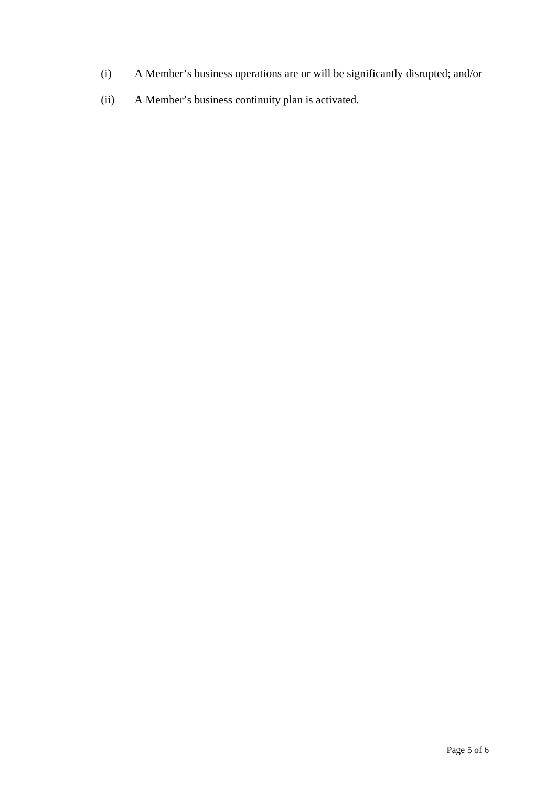- (i) A Member's business operations are or will be significantly disrupted; and/or
- (ii) A Member's business continuity plan is activated.